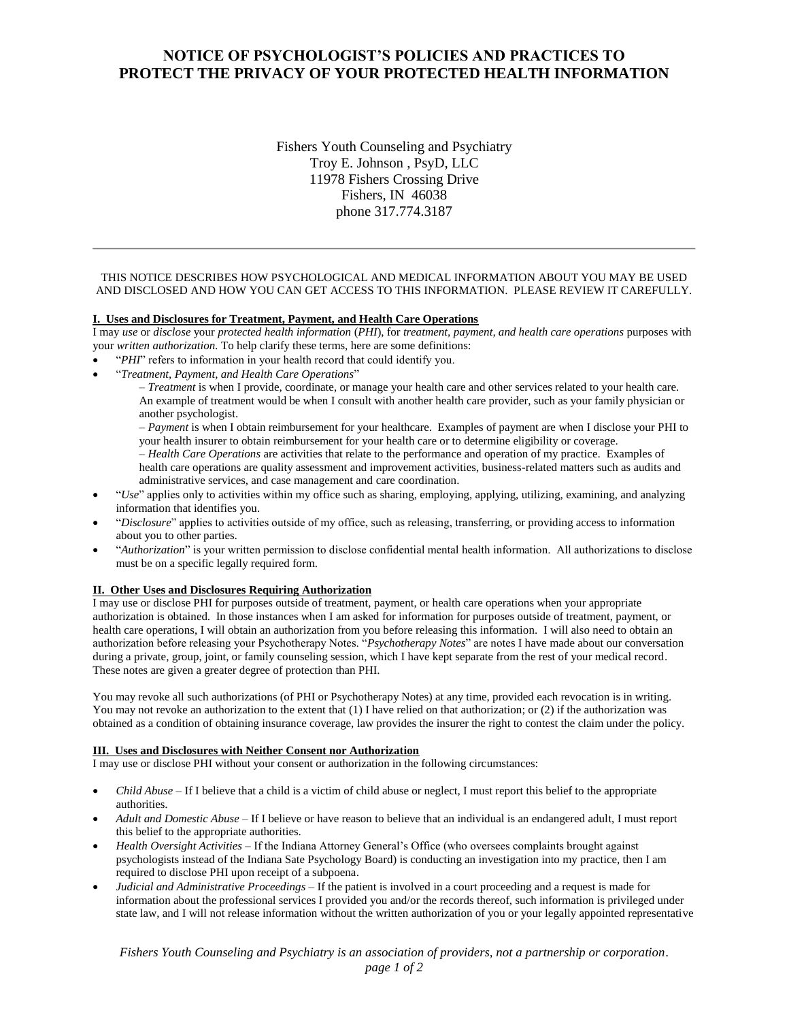# **NOTICE OF PSYCHOLOGIST'S POLICIES AND PRACTICES TO PROTECT THE PRIVACY OF YOUR PROTECTED HEALTH INFORMATION**

Fishers Youth Counseling and Psychiatry Troy E. Johnson , PsyD, LLC 11978 Fishers Crossing Drive Fishers, IN 46038 phone 317.774.3187

## THIS NOTICE DESCRIBES HOW PSYCHOLOGICAL AND MEDICAL INFORMATION ABOUT YOU MAY BE USED AND DISCLOSED AND HOW YOU CAN GET ACCESS TO THIS INFORMATION. PLEASE REVIEW IT CAREFULLY.

### **I. Uses and Disclosures for Treatment, Payment, and Health Care Operations**

I may *use* or *disclose* your *protected health information* (*PHI*), for *treatment, payment, and health care operations* purposes with your *written authorization.* To help clarify these terms, here are some definitions:

- "*PHI*" refers to information in your health record that could identify you.
- "*Treatment, Payment, and Health Care Operations*"

– *Treatment* is when I provide, coordinate, or manage your health care and other services related to your health care. An example of treatment would be when I consult with another health care provider, such as your family physician or another psychologist.

– *Payment* is when I obtain reimbursement for your healthcare. Examples of payment are when I disclose your PHI to your health insurer to obtain reimbursement for your health care or to determine eligibility or coverage.

– *Health Care Operations* are activities that relate to the performance and operation of my practice. Examples of health care operations are quality assessment and improvement activities, business-related matters such as audits and administrative services, and case management and care coordination.

- "*Use*" applies only to activities within my office such as sharing, employing, applying, utilizing, examining, and analyzing information that identifies you.
- "*Disclosure*" applies to activities outside of my office, such as releasing, transferring, or providing access to information about you to other parties.
- "*Authorization*" is your written permission to disclose confidential mental health information. All authorizations to disclose must be on a specific legally required form.

#### **II. Other Uses and Disclosures Requiring Authorization**

I may use or disclose PHI for purposes outside of treatment, payment, or health care operations when your appropriate authorization is obtained. In those instances when I am asked for information for purposes outside of treatment, payment, or health care operations, I will obtain an authorization from you before releasing this information. I will also need to obtain an authorization before releasing your Psychotherapy Notes. "*Psychotherapy Notes*" are notes I have made about our conversation during a private, group, joint, or family counseling session, which I have kept separate from the rest of your medical record. These notes are given a greater degree of protection than PHI.

You may revoke all such authorizations (of PHI or Psychotherapy Notes) at any time, provided each revocation is in writing. You may not revoke an authorization to the extent that (1) I have relied on that authorization; or (2) if the authorization was obtained as a condition of obtaining insurance coverage, law provides the insurer the right to contest the claim under the policy.

#### **III. Uses and Disclosures with Neither Consent nor Authorization**

I may use or disclose PHI without your consent or authorization in the following circumstances:

- *Child Abuse* If I believe that a child is a victim of child abuse or neglect, I must report this belief to the appropriate authorities.
- *Adult and Domestic Abuse*  If I believe or have reason to believe that an individual is an endangered adult, I must report this belief to the appropriate authorities.
- *Health Oversight Activities –* If the Indiana Attorney General's Office (who oversees complaints brought against psychologists instead of the Indiana Sate Psychology Board) is conducting an investigation into my practice, then I am required to disclose PHI upon receipt of a subpoena.
- *Judicial and Administrative Proceedings*  If the patient is involved in a court proceeding and a request is made for information about the professional services I provided you and/or the records thereof, such information is privileged under state law, and I will not release information without the written authorization of you or your legally appointed representative

*Fishers Youth Counseling and Psychiatry is an association of providers, not a partnership or corporation.*